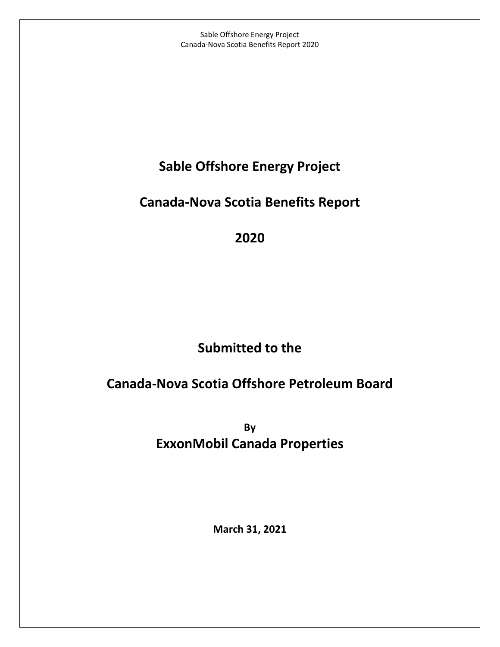## **Sable Offshore Energy Project**

## **Canada-Nova Scotia Benefits Report**

**2020**

# **Submitted to the**

# **Canada-Nova Scotia Offshore Petroleum Board**

**By ExxonMobil Canada Properties**

**March 31, 2021**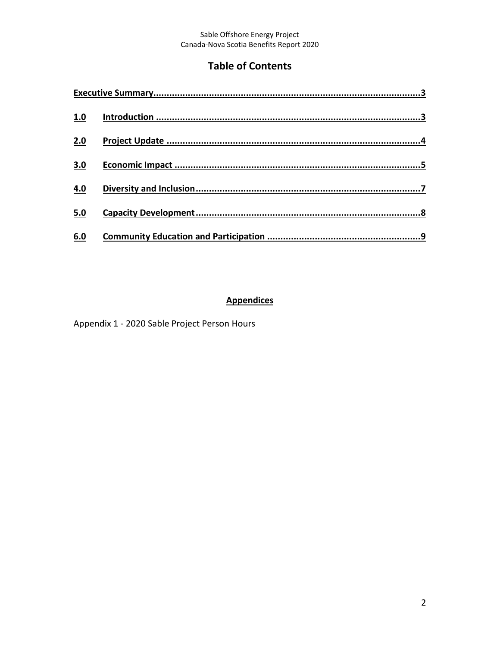### **Table of Contents**

| 1.0 |  |
|-----|--|
| 2.0 |  |
| 3.0 |  |
| 4.0 |  |
| 5.0 |  |
| 6.0 |  |

#### **Appendices**

Appendix 1 - 2020 Sable Project Person Hours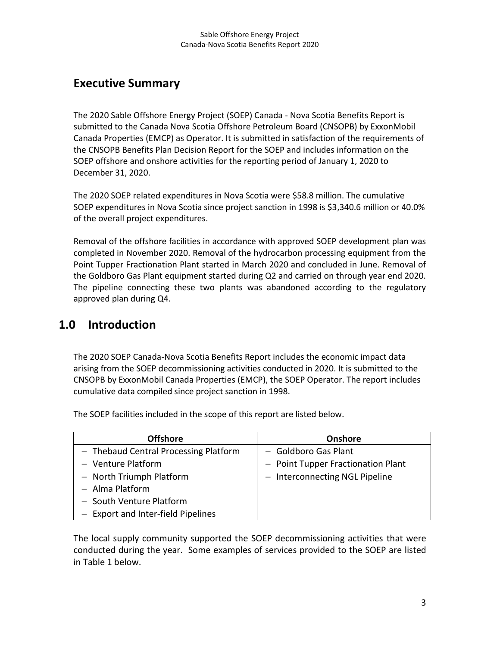### <span id="page-2-0"></span>**Executive Summary**

The 2020 Sable Offshore Energy Project (SOEP) Canada - Nova Scotia Benefits Report is submitted to the Canada Nova Scotia Offshore Petroleum Board (CNSOPB) by ExxonMobil Canada Properties (EMCP) as Operator. It is submitted in satisfaction of the requirements of the CNSOPB Benefits Plan Decision Report for the SOEP and includes information on the SOEP offshore and onshore activities for the reporting period of January 1, 2020 to December 31, 2020.

The 2020 SOEP related expenditures in Nova Scotia were \$58.8 million. The cumulative SOEP expenditures in Nova Scotia since project sanction in 1998 is \$3,340.6 million or 40.0% of the overall project expenditures.

Removal of the offshore facilities in accordance with approved SOEP development plan was completed in November 2020. Removal of the hydrocarbon processing equipment from the Point Tupper Fractionation Plant started in March 2020 and concluded in June. Removal of the Goldboro Gas Plant equipment started during Q2 and carried on through year end 2020. The pipeline connecting these two plants was abandoned according to the regulatory approved plan during Q4.

### <span id="page-2-1"></span>**1.0 Introduction**

The 2020 SOEP Canada-Nova Scotia Benefits Report includes the economic impact data arising from the SOEP decommissioning activities conducted in 2020. It is submitted to the CNSOPB by ExxonMobil Canada Properties (EMCP), the SOEP Operator. The report includes cumulative data compiled since project sanction in 1998.

The SOEP facilities included in the scope of this report are listed below.

| <b>Offshore</b>                       | <b>Onshore</b>                     |
|---------------------------------------|------------------------------------|
| - Thebaud Central Processing Platform | - Goldboro Gas Plant               |
| - Venture Platform                    | - Point Tupper Fractionation Plant |
| - North Triumph Platform              | - Interconnecting NGL Pipeline     |
| $-$ Alma Platform                     |                                    |
| - South Venture Platform              |                                    |
| - Export and Inter-field Pipelines    |                                    |

The local supply community supported the SOEP decommissioning activities that were conducted during the year. Some examples of services provided to the SOEP are listed in Table 1 below.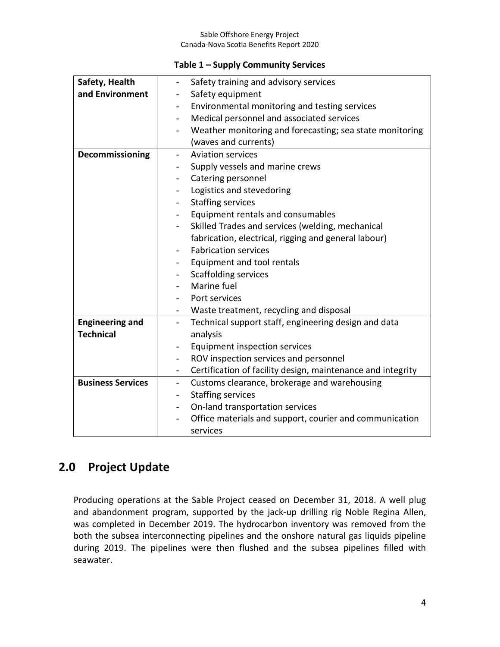#### **Table 1 – Supply Community Services**

| Safety, Health           | Safety training and advisory services<br>$\overline{a}$                                 |
|--------------------------|-----------------------------------------------------------------------------------------|
| and Environment          | Safety equipment<br>$\overline{\phantom{0}}$                                            |
|                          | Environmental monitoring and testing services                                           |
|                          | Medical personnel and associated services<br>$\overline{\phantom{a}}$                   |
|                          | Weather monitoring and forecasting; sea state monitoring                                |
|                          | (waves and currents)                                                                    |
| Decommissioning          | <b>Aviation services</b>                                                                |
|                          | Supply vessels and marine crews                                                         |
|                          | Catering personnel                                                                      |
|                          | Logistics and stevedoring<br>$\qquad \qquad -$                                          |
|                          | <b>Staffing services</b>                                                                |
|                          | Equipment rentals and consumables<br>$\overline{\phantom{a}}$                           |
|                          | Skilled Trades and services (welding, mechanical                                        |
|                          | fabrication, electrical, rigging and general labour)                                    |
|                          | <b>Fabrication services</b>                                                             |
|                          | Equipment and tool rentals                                                              |
|                          | <b>Scaffolding services</b><br>$\overline{\phantom{0}}$                                 |
|                          | Marine fuel                                                                             |
|                          | Port services                                                                           |
|                          | Waste treatment, recycling and disposal                                                 |
| <b>Engineering and</b>   | Technical support staff, engineering design and data<br>$\overline{\phantom{0}}$        |
| <b>Technical</b>         | analysis                                                                                |
|                          | Equipment inspection services<br>$\qquad \qquad -$                                      |
|                          | ROV inspection services and personnel                                                   |
|                          | Certification of facility design, maintenance and integrity<br>$\overline{\phantom{a}}$ |
| <b>Business Services</b> | Customs clearance, brokerage and warehousing<br>$\overline{\phantom{0}}$                |
|                          | <b>Staffing services</b><br>$\overline{\phantom{a}}$                                    |
|                          | On-land transportation services                                                         |
|                          | Office materials and support, courier and communication                                 |
|                          | services                                                                                |

### <span id="page-3-0"></span>**2.0 Project Update**

Producing operations at the Sable Project ceased on December 31, 2018. A well plug and abandonment program, supported by the jack-up drilling rig Noble Regina Allen, was completed in December 2019. The hydrocarbon inventory was removed from the both the subsea interconnecting pipelines and the onshore natural gas liquids pipeline during 2019. The pipelines were then flushed and the subsea pipelines filled with seawater.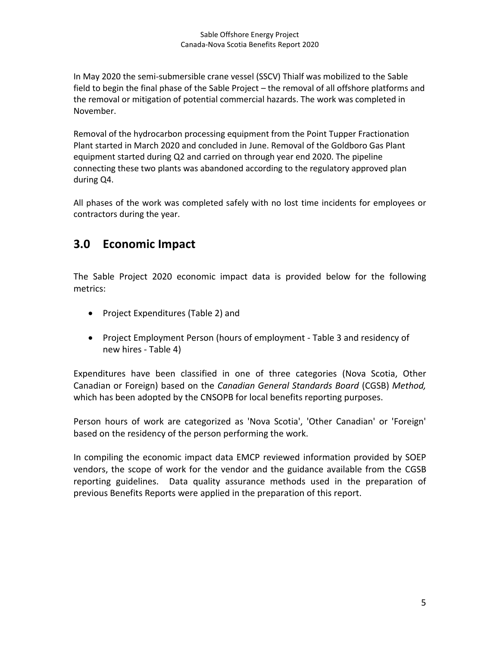In May 2020 the semi-submersible crane vessel (SSCV) Thialf was mobilized to the Sable field to begin the final phase of the Sable Project – the removal of all offshore platforms and the removal or mitigation of potential commercial hazards. The work was completed in November.

Removal of the hydrocarbon processing equipment from the Point Tupper Fractionation Plant started in March 2020 and concluded in June. Removal of the Goldboro Gas Plant equipment started during Q2 and carried on through year end 2020. The pipeline connecting these two plants was abandoned according to the regulatory approved plan during Q4.

All phases of the work was completed safely with no lost time incidents for employees or contractors during the year.

### <span id="page-4-0"></span>**3.0 Economic Impact**

The Sable Project 2020 economic impact data is provided below for the following metrics:

- Project Expenditures (Table 2) and
- Project Employment Person (hours of employment Table 3 and residency of new hires - Table 4)

Expenditures have been classified in one of three categories (Nova Scotia, Other Canadian or Foreign) based on the *Canadian General Standards Board* (CGSB) *Method,* which has been adopted by the CNSOPB for local benefits reporting purposes.

Person hours of work are categorized as 'Nova Scotia', 'Other Canadian' or 'Foreign' based on the residency of the person performing the work.

In compiling the economic impact data EMCP reviewed information provided by SOEP vendors, the scope of work for the vendor and the guidance available from the CGSB reporting guidelines. Data quality assurance methods used in the preparation of previous Benefits Reports were applied in the preparation of this report.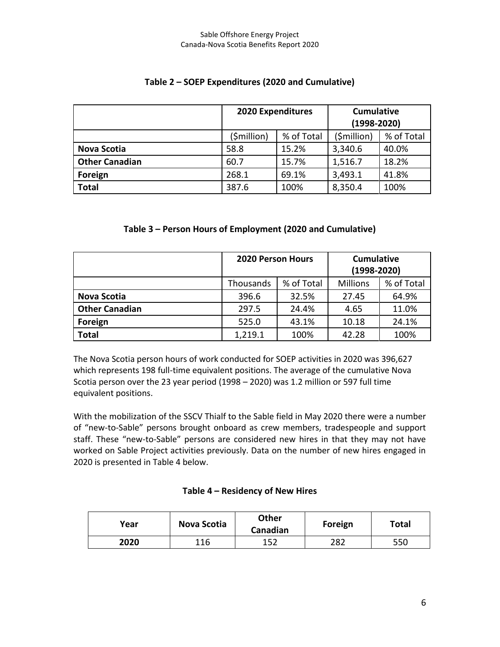|                       | <b>2020 Expenditures</b> |            | <b>Cumulative</b><br>$(1998 - 2020)$ |            |
|-----------------------|--------------------------|------------|--------------------------------------|------------|
|                       | (\$million)              | % of Total | (\$million)                          | % of Total |
| <b>Nova Scotia</b>    | 58.8                     | 15.2%      | 3,340.6                              | 40.0%      |
| <b>Other Canadian</b> | 60.7                     | 15.7%      | 1,516.7                              | 18.2%      |
| Foreign               | 268.1                    | 69.1%      | 3,493.1                              | 41.8%      |
| <b>Total</b>          | 387.6                    | 100%       | 8,350.4                              | 100%       |

#### **Table 2 – SOEP Expenditures (2020 and Cumulative)**

#### **Table 3 – Person Hours of Employment (2020 and Cumulative)**

|                       | <b>2020 Person Hours</b> |            | <b>Cumulative</b><br>$(1998 - 2020)$ |            |
|-----------------------|--------------------------|------------|--------------------------------------|------------|
|                       | Thousands                | % of Total | <b>Millions</b>                      | % of Total |
| <b>Nova Scotia</b>    | 396.6                    | 32.5%      | 27.45                                | 64.9%      |
| <b>Other Canadian</b> | 297.5                    | 24.4%      | 4.65                                 | 11.0%      |
| Foreign               | 525.0                    | 43.1%      | 10.18                                | 24.1%      |
| <b>Total</b>          | 1,219.1                  | 100%       | 42.28                                | 100%       |

The Nova Scotia person hours of work conducted for SOEP activities in 2020 was 396,627 which represents 198 full-time equivalent positions. The average of the cumulative Nova Scotia person over the 23 year period (1998 – 2020) was 1.2 million or 597 full time equivalent positions.

With the mobilization of the SSCV Thialf to the Sable field in May 2020 there were a number of "new-to-Sable" persons brought onboard as crew members, tradespeople and support staff. These "new-to-Sable" persons are considered new hires in that they may not have worked on Sable Project activities previously. Data on the number of new hires engaged in 2020 is presented in Table 4 below.

#### **Table 4 – Residency of New Hires**

| Year | Nova Scotia | <b>Other</b><br>Canadian | Foreign | Total |
|------|-------------|--------------------------|---------|-------|
| 2020 | 116         | 157<br>ᅩᆚᄼ               | 282     | 550   |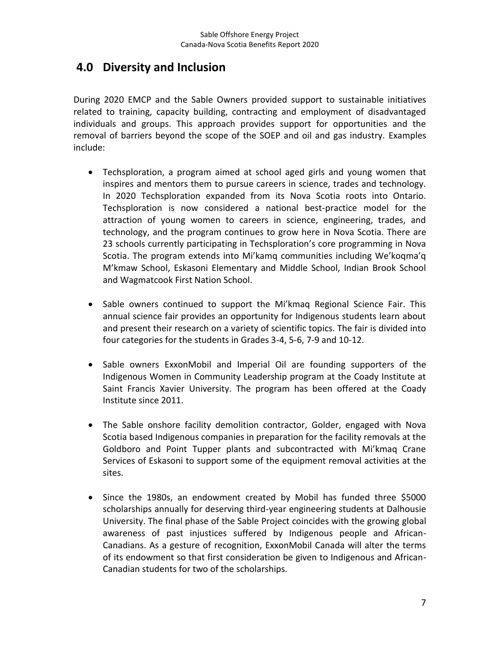### <span id="page-6-0"></span>**4.0 Diversity and Inclusion**

During 2020 EMCP and the Sable Owners provided support to sustainable initiatives related to training, capacity building, contracting and employment of disadvantaged individuals and groups. This approach provides support for opportunities and the removal of barriers beyond the scope of the SOEP and oil and gas industry. Examples include:

- Techsploration, a program aimed at school aged girls and young women that inspires and mentors them to pursue careers in science, trades and technology. In 2020 Techsploration expanded from its Nova Scotia roots into Ontario. Techsploration is now considered a national best-practice model for the attraction of young women to careers in science, engineering, trades, and technology, and the program continues to grow here in Nova Scotia. There are 23 schools currently participating in Techsploration's core programming in Nova Scotia. The program extends into Mi'kamq communities including We'koqma'q M'kmaw School, Eskasoni Elementary and Middle School, Indian Brook School and Wagmatcook First Nation School.
- Sable owners continued to support the Mi'kmaq Regional Science Fair. This annual science fair provides an opportunity for Indigenous students learn about and present their research on a variety of scientific topics. The fair is divided into four categories for the students in Grades 3-4, 5-6, 7-9 and 10-12.
- Sable owners ExxonMobil and Imperial Oil are founding supporters of the Indigenous Women in Community Leadership program at the Coady Institute at Saint Francis Xavier University. The program has been offered at the Coady Institute since 2011.
- The Sable onshore facility demolition contractor, Golder, engaged with Nova Scotia based Indigenous companies in preparation for the facility removals at the Goldboro and Point Tupper plants and subcontracted with Mi'kmaq Crane Services of Eskasoni to support some of the equipment removal activities at the sites.
- Since the 1980s, an endowment created by Mobil has funded three \$5000 scholarships annually for deserving third-year engineering students at Dalhousie University. The final phase of the Sable Project coincides with the growing global awareness of past injustices suffered by Indigenous people and African-Canadians. As a gesture of recognition, ExxonMobil Canada will alter the terms of its endowment so that first consideration be given to Indigenous and African-Canadian students for two of the scholarships.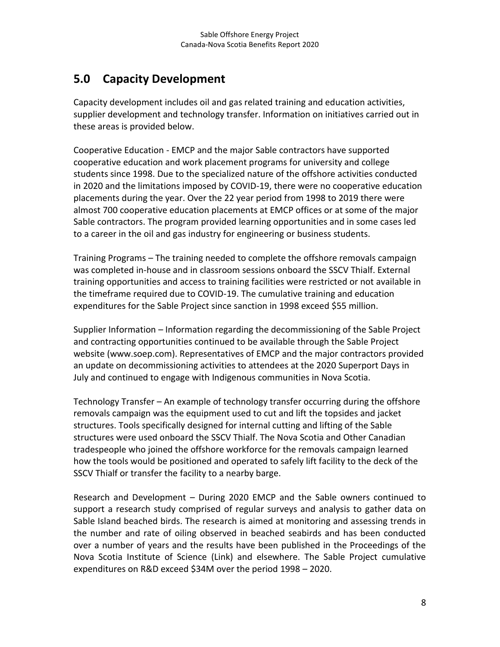## <span id="page-7-0"></span>**5.0 Capacity Development**

Capacity development includes oil and gas related training and education activities, supplier development and technology transfer. Information on initiatives carried out in these areas is provided below.

Cooperative Education - EMCP and the major Sable contractors have supported cooperative education and work placement programs for university and college students since 1998. Due to the specialized nature of the offshore activities conducted in 2020 and the limitations imposed by COVID-19, there were no cooperative education placements during the year. Over the 22 year period from 1998 to 2019 there were almost 700 cooperative education placements at EMCP offices or at some of the major Sable contractors. The program provided learning opportunities and in some cases led to a career in the oil and gas industry for engineering or business students.

Training Programs – The training needed to complete the offshore removals campaign was completed in-house and in classroom sessions onboard the SSCV Thialf. External training opportunities and access to training facilities were restricted or not available in the timeframe required due to COVID-19. The cumulative training and education expenditures for the Sable Project since sanction in 1998 exceed \$55 million.

Supplier Information – Information regarding the decommissioning of the Sable Project and contracting opportunities continued to be available through the Sable Project website (www.soep.com). Representatives of EMCP and the major contractors provided an update on decommissioning activities to attendees at the 2020 Superport Days in July and continued to engage with Indigenous communities in Nova Scotia.

Technology Transfer – An example of technology transfer occurring during the offshore removals campaign was the equipment used to cut and lift the topsides and jacket structures. Tools specifically designed for internal cutting and lifting of the Sable structures were used onboard the SSCV Thialf. The Nova Scotia and Other Canadian tradespeople who joined the offshore workforce for the removals campaign learned how the tools would be positioned and operated to safely lift facility to the deck of the SSCV Thialf or transfer the facility to a nearby barge.

Research and Development – During 2020 EMCP and the Sable owners continued to support a research study comprised of regular surveys and analysis to gather data on Sable Island beached birds. The research is aimed at monitoring and assessing trends in the number and rate of oiling observed in beached seabirds and has been conducted over a number of years and the results have been published in the Proceedings of the Nova Scotia Institute of Science (Link) and elsewhere. The Sable Project cumulative expenditures on R&D exceed \$34M over the period 1998 – 2020.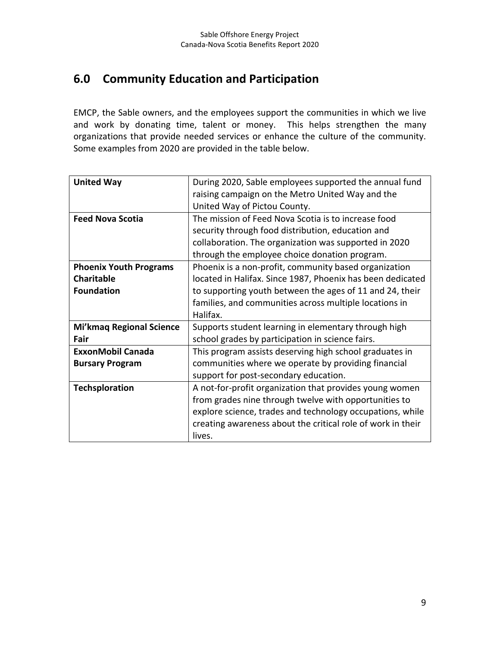## <span id="page-8-0"></span>**6.0 Community Education and Participation**

EMCP, the Sable owners, and the employees support the communities in which we live and work by donating time, talent or money. This helps strengthen the many organizations that provide needed services or enhance the culture of the community. Some examples from 2020 are provided in the table below.

| <b>United Way</b>               | During 2020, Sable employees supported the annual fund      |  |  |  |
|---------------------------------|-------------------------------------------------------------|--|--|--|
|                                 | raising campaign on the Metro United Way and the            |  |  |  |
|                                 | United Way of Pictou County.                                |  |  |  |
| <b>Feed Nova Scotia</b>         | The mission of Feed Nova Scotia is to increase food         |  |  |  |
|                                 | security through food distribution, education and           |  |  |  |
|                                 | collaboration. The organization was supported in 2020       |  |  |  |
|                                 | through the employee choice donation program.               |  |  |  |
| <b>Phoenix Youth Programs</b>   | Phoenix is a non-profit, community based organization       |  |  |  |
| <b>Charitable</b>               | located in Halifax. Since 1987, Phoenix has been dedicated  |  |  |  |
| <b>Foundation</b>               | to supporting youth between the ages of 11 and 24, their    |  |  |  |
|                                 | families, and communities across multiple locations in      |  |  |  |
|                                 | Halifax.                                                    |  |  |  |
| <b>Mi'kmaq Regional Science</b> | Supports student learning in elementary through high        |  |  |  |
| Fair                            | school grades by participation in science fairs.            |  |  |  |
| <b>ExxonMobil Canada</b>        | This program assists deserving high school graduates in     |  |  |  |
| <b>Bursary Program</b>          | communities where we operate by providing financial         |  |  |  |
|                                 | support for post-secondary education.                       |  |  |  |
| <b>Techsploration</b>           | A not-for-profit organization that provides young women     |  |  |  |
|                                 | from grades nine through twelve with opportunities to       |  |  |  |
|                                 | explore science, trades and technology occupations, while   |  |  |  |
|                                 | creating awareness about the critical role of work in their |  |  |  |
|                                 | lives.                                                      |  |  |  |